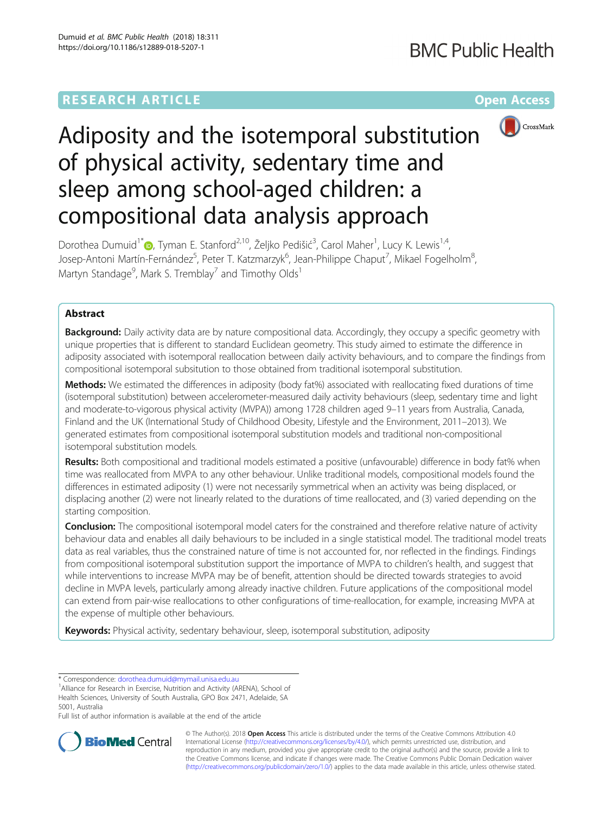# **RESEARCH ARTICLE Example 2014 12:30 The Community Community Community Community Community Community Community**



# Adiposity and the isotemporal substitution of physical activity, sedentary time and sleep among school-aged children: a compositional data analysis approach

Dorothea Dumuid<sup>1\*</sup>®[,](http://orcid.org/0000-0003-3057-0963) Tyman E. Stanford<sup>2,10</sup>, Željko Pedišić<sup>3</sup>, Carol Maher<sup>1</sup>, Lucy K. Lewis<sup>1,4</sup>, Josep-Antoni Martín-Fernández<sup>5</sup>, Peter T. Katzmarzyk<sup>6</sup>, Jean-Philippe Chaput<sup>7</sup>, Mikael Fogelholm<sup>8</sup> , Martyn Standage<sup>9</sup>, Mark S. Tremblay<sup>7</sup> and Timothy Olds<sup>1</sup>

# Abstract

**Background:** Daily activity data are by nature compositional data. Accordingly, they occupy a specific geometry with unique properties that is different to standard Euclidean geometry. This study aimed to estimate the difference in adiposity associated with isotemporal reallocation between daily activity behaviours, and to compare the findings from compositional isotemporal subsitution to those obtained from traditional isotemporal substitution.

Methods: We estimated the differences in adiposity (body fat%) associated with reallocating fixed durations of time (isotemporal substitution) between accelerometer-measured daily activity behaviours (sleep, sedentary time and light and moderate-to-vigorous physical activity (MVPA)) among 1728 children aged 9–11 years from Australia, Canada, Finland and the UK (International Study of Childhood Obesity, Lifestyle and the Environment, 2011–2013). We generated estimates from compositional isotemporal substitution models and traditional non-compositional isotemporal substitution models.

Results: Both compositional and traditional models estimated a positive (unfavourable) difference in body fat% when time was reallocated from MVPA to any other behaviour. Unlike traditional models, compositional models found the differences in estimated adiposity (1) were not necessarily symmetrical when an activity was being displaced, or displacing another (2) were not linearly related to the durations of time reallocated, and (3) varied depending on the starting composition.

Conclusion: The compositional isotemporal model caters for the constrained and therefore relative nature of activity behaviour data and enables all daily behaviours to be included in a single statistical model. The traditional model treats data as real variables, thus the constrained nature of time is not accounted for, nor reflected in the findings. Findings from compositional isotemporal substitution support the importance of MVPA to children's health, and suggest that while interventions to increase MVPA may be of benefit, attention should be directed towards strategies to avoid decline in MVPA levels, particularly among already inactive children. Future applications of the compositional model can extend from pair-wise reallocations to other configurations of time-reallocation, for example, increasing MVPA at the expense of multiple other behaviours.

**Keywords:** Physical activity, sedentary behaviour, sleep, isotemporal substitution, adiposity

\* Correspondence: [dorothea.dumuid@mymail.unisa.edu.au](mailto:dorothea.dumuid@mymail.unisa.edu.au) <sup>1</sup>

<sup>1</sup> Alliance for Research in Exercise, Nutrition and Activity (ARENA), School of Health Sciences, University of South Australia, GPO Box 2471, Adelaide, SA 5001, Australia

Full list of author information is available at the end of the article



© The Author(s). 2018 Open Access This article is distributed under the terms of the Creative Commons Attribution 4.0 International License [\(http://creativecommons.org/licenses/by/4.0/](http://creativecommons.org/licenses/by/4.0/)), which permits unrestricted use, distribution, and reproduction in any medium, provided you give appropriate credit to the original author(s) and the source, provide a link to the Creative Commons license, and indicate if changes were made. The Creative Commons Public Domain Dedication waiver [\(http://creativecommons.org/publicdomain/zero/1.0/](http://creativecommons.org/publicdomain/zero/1.0/)) applies to the data made available in this article, unless otherwise stated.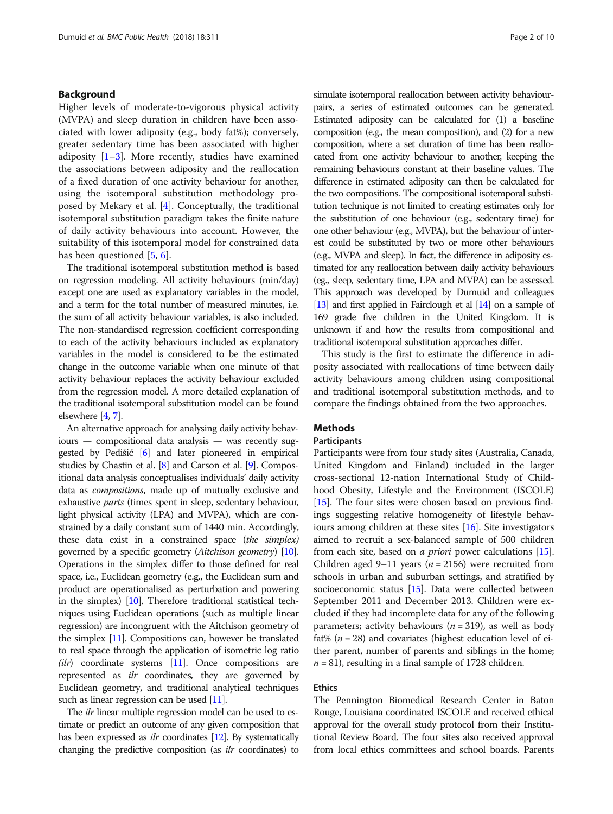# Background

Higher levels of moderate-to-vigorous physical activity (MVPA) and sleep duration in children have been associated with lower adiposity (e.g., body fat%); conversely, greater sedentary time has been associated with higher adiposity  $[1-3]$  $[1-3]$  $[1-3]$  $[1-3]$ . More recently, studies have examined the associations between adiposity and the reallocation of a fixed duration of one activity behaviour for another, using the isotemporal substitution methodology proposed by Mekary et al. [[4\]](#page-8-0). Conceptually, the traditional isotemporal substitution paradigm takes the finite nature of daily activity behaviours into account. However, the suitability of this isotemporal model for constrained data has been questioned [\[5](#page-8-0), [6](#page-8-0)].

The traditional isotemporal substitution method is based on regression modeling. All activity behaviours (min/day) except one are used as explanatory variables in the model, and a term for the total number of measured minutes, i.e. the sum of all activity behaviour variables, is also included. The non-standardised regression coefficient corresponding to each of the activity behaviours included as explanatory variables in the model is considered to be the estimated change in the outcome variable when one minute of that activity behaviour replaces the activity behaviour excluded from the regression model. A more detailed explanation of the traditional isotemporal substitution model can be found elsewhere [\[4](#page-8-0), [7](#page-9-0)].

An alternative approach for analysing daily activity behaviours — compositional data analysis — was recently suggested by Pedišić [\[6](#page-8-0)] and later pioneered in empirical studies by Chastin et al. [\[8\]](#page-9-0) and Carson et al. [\[9\]](#page-9-0). Compositional data analysis conceptualises individuals' daily activity data as compositions, made up of mutually exclusive and exhaustive parts (times spent in sleep, sedentary behaviour, light physical activity (LPA) and MVPA), which are constrained by a daily constant sum of 1440 min. Accordingly, these data exist in a constrained space (the simplex) governed by a specific geometry (Aitchison geometry) [\[10](#page-9-0)]. Operations in the simplex differ to those defined for real space, i.e., Euclidean geometry (e.g., the Euclidean sum and product are operationalised as perturbation and powering in the simplex) [\[10](#page-9-0)]. Therefore traditional statistical techniques using Euclidean operations (such as multiple linear regression) are incongruent with the Aitchison geometry of the simplex [\[11](#page-9-0)]. Compositions can, however be translated to real space through the application of isometric log ratio  $(ilr)$  coordinate systems [\[11\]](#page-9-0). Once compositions are represented as *ilr* coordinates, they are governed by Euclidean geometry, and traditional analytical techniques such as linear regression can be used [\[11\]](#page-9-0).

The *ilr* linear multiple regression model can be used to estimate or predict an outcome of any given composition that has been expressed as *ilr* coordinates [\[12](#page-9-0)]. By systematically changing the predictive composition (as ilr coordinates) to simulate isotemporal reallocation between activity behaviourpairs, a series of estimated outcomes can be generated. Estimated adiposity can be calculated for (1) a baseline composition (e.g., the mean composition), and (2) for a new composition, where a set duration of time has been reallocated from one activity behaviour to another, keeping the remaining behaviours constant at their baseline values. The difference in estimated adiposity can then be calculated for the two compositions. The compositional isotemporal substitution technique is not limited to creating estimates only for the substitution of one behaviour (e.g., sedentary time) for one other behaviour (e.g., MVPA), but the behaviour of interest could be substituted by two or more other behaviours (e.g., MVPA and sleep). In fact, the difference in adiposity estimated for any reallocation between daily activity behaviours (eg., sleep, sedentary time, LPA and MVPA) can be assessed. This approach was developed by Dumuid and colleagues [[13\]](#page-9-0) and first applied in Fairclough et al [\[14](#page-9-0)] on a sample of 169 grade five children in the United Kingdom. It is unknown if and how the results from compositional and traditional isotemporal substitution approaches differ.

This study is the first to estimate the difference in adiposity associated with reallocations of time between daily activity behaviours among children using compositional and traditional isotemporal substitution methods, and to compare the findings obtained from the two approaches.

# Methods

#### **Participants**

Participants were from four study sites (Australia, Canada, United Kingdom and Finland) included in the larger cross-sectional 12-nation International Study of Childhood Obesity, Lifestyle and the Environment (ISCOLE) [[15](#page-9-0)]. The four sites were chosen based on previous findings suggesting relative homogeneity of lifestyle behaviours among children at these sites [\[16](#page-9-0)]. Site investigators aimed to recruit a sex-balanced sample of 500 children from each site, based on *a priori* power calculations [[15](#page-9-0)]. Children aged 9–11 years ( $n = 2156$ ) were recruited from schools in urban and suburban settings, and stratified by socioeconomic status [\[15\]](#page-9-0). Data were collected between September 2011 and December 2013. Children were excluded if they had incomplete data for any of the following parameters; activity behaviours ( $n = 319$ ), as well as body fat% ( $n = 28$ ) and covariates (highest education level of either parent, number of parents and siblings in the home;  $n = 81$ ), resulting in a final sample of 1728 children.

#### Ethics

The Pennington Biomedical Research Center in Baton Rouge, Louisiana coordinated ISCOLE and received ethical approval for the overall study protocol from their Institutional Review Board. The four sites also received approval from local ethics committees and school boards. Parents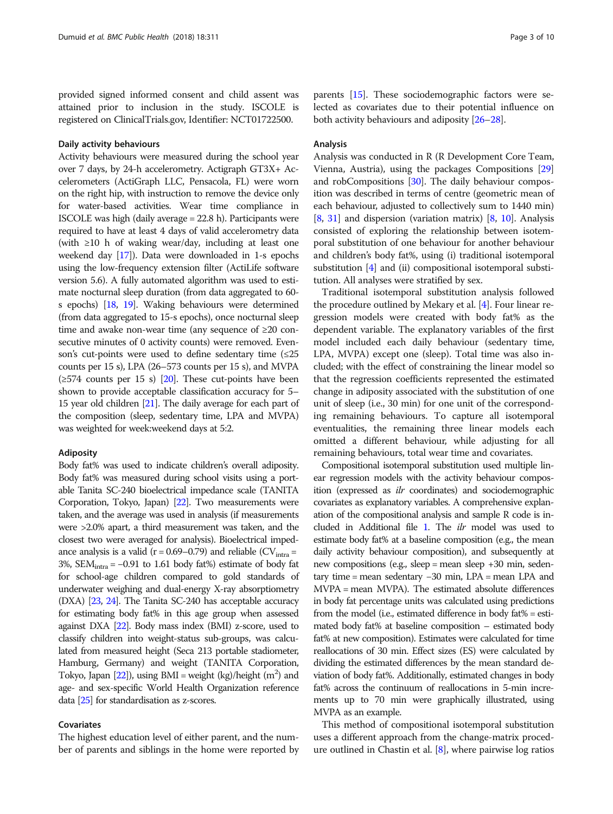provided signed informed consent and child assent was attained prior to inclusion in the study. ISCOLE is registered on ClinicalTrials.gov, Identifier: NCT01722500.

#### Daily activity behaviours

Activity behaviours were measured during the school year over 7 days, by 24-h accelerometry. Actigraph GT3X+ Accelerometers (ActiGraph LLC, Pensacola, FL) were worn on the right hip, with instruction to remove the device only for water-based activities. Wear time compliance in ISCOLE was high (daily average = 22.8 h). Participants were required to have at least 4 days of valid accelerometry data (with ≥10 h of waking wear/day, including at least one weekend day [\[17](#page-9-0)]). Data were downloaded in 1-s epochs using the low-frequency extension filter (ActiLife software version 5.6). A fully automated algorithm was used to estimate nocturnal sleep duration (from data aggregated to 60 s epochs) [\[18,](#page-9-0) [19](#page-9-0)]. Waking behaviours were determined (from data aggregated to 15-s epochs), once nocturnal sleep time and awake non-wear time (any sequence of ≥20 consecutive minutes of 0 activity counts) were removed. Evenson's cut-points were used to define sedentary time  $(\leq 25)$ counts per 15 s), LPA (26–573 counts per 15 s), and MVPA  $(\geq 574$  counts per 15 s) [\[20](#page-9-0)]. These cut-points have been shown to provide acceptable classification accuracy for 5– 15 year old children [\[21](#page-9-0)]. The daily average for each part of the composition (sleep, sedentary time, LPA and MVPA) was weighted for week:weekend days at 5:2.

#### Adiposity

Body fat% was used to indicate children's overall adiposity. Body fat% was measured during school visits using a portable Tanita SC-240 bioelectrical impedance scale (TANITA Corporation, Tokyo, Japan) [\[22\]](#page-9-0). Two measurements were taken, and the average was used in analysis (if measurements were >2.0% apart, a third measurement was taken, and the closest two were averaged for analysis). Bioelectrical impedance analysis is a valid ( $r = 0.69 - 0.79$ ) and reliable (CV<sub>intra</sub> = 3%, SEM $_{\text{intra}}$  = -0.91 to 1.61 body fat%) estimate of body fat for school-age children compared to gold standards of underwater weighing and dual-energy X-ray absorptiometry (DXA) [[23,](#page-9-0) [24](#page-9-0)]. The Tanita SC-240 has acceptable accuracy for estimating body fat% in this age group when assessed against DXA [\[22](#page-9-0)]. Body mass index (BMI) z-score, used to classify children into weight-status sub-groups, was calculated from measured height (Seca 213 portable stadiometer, Hamburg, Germany) and weight (TANITA Corporation, Tokyo, Japan  $[22]$  $[22]$ ), using BMI = weight (kg)/height  $(m^2)$  and age- and sex-specific World Health Organization reference data [\[25](#page-9-0)] for standardisation as z-scores.

#### Covariates

The highest education level of either parent, and the number of parents and siblings in the home were reported by

parents [[15](#page-9-0)]. These sociodemographic factors were selected as covariates due to their potential influence on both activity behaviours and adiposity [\[26](#page-9-0)–[28](#page-9-0)].

# Analysis

Analysis was conducted in R (R Development Core Team, Vienna, Austria), using the packages Compositions [[29](#page-9-0)] and robCompositions [\[30](#page-9-0)]. The daily behaviour composition was described in terms of centre (geometric mean of each behaviour, adjusted to collectively sum to 1440 min) [[8,](#page-9-0) [31](#page-9-0)] and dispersion (variation matrix) [\[8,](#page-9-0) [10](#page-9-0)]. Analysis consisted of exploring the relationship between isotemporal substitution of one behaviour for another behaviour and children's body fat%, using (i) traditional isotemporal substitution [\[4](#page-8-0)] and (ii) compositional isotemporal substitution. All analyses were stratified by sex.

Traditional isotemporal substitution analysis followed the procedure outlined by Mekary et al. [\[4\]](#page-8-0). Four linear regression models were created with body fat% as the dependent variable. The explanatory variables of the first model included each daily behaviour (sedentary time, LPA, MVPA) except one (sleep). Total time was also included; with the effect of constraining the linear model so that the regression coefficients represented the estimated change in adiposity associated with the substitution of one unit of sleep (i.e., 30 min) for one unit of the corresponding remaining behaviours. To capture all isotemporal eventualities, the remaining three linear models each omitted a different behaviour, while adjusting for all remaining behaviours, total wear time and covariates.

Compositional isotemporal substitution used multiple linear regression models with the activity behaviour composition (expressed as ilr coordinates) and sociodemographic covariates as explanatory variables. A comprehensive explanation of the compositional analysis and sample R code is included in Additional file [1.](#page-8-0) The ilr model was used to estimate body fat% at a baseline composition (e.g., the mean daily activity behaviour composition), and subsequently at new compositions (e.g., sleep = mean sleep +30 min, sedentary time = mean sedentary −30 min, LPA = mean LPA and MVPA = mean MVPA). The estimated absolute differences in body fat percentage units was calculated using predictions from the model (i.e., estimated difference in body fat% = estimated body fat% at baseline composition – estimated body fat% at new composition). Estimates were calculated for time reallocations of 30 min. Effect sizes (ES) were calculated by dividing the estimated differences by the mean standard deviation of body fat%. Additionally, estimated changes in body fat% across the continuum of reallocations in 5-min increments up to 70 min were graphically illustrated, using MVPA as an example.

This method of compositional isotemporal substitution uses a different approach from the change-matrix procedure outlined in Chastin et al. [[8\]](#page-9-0), where pairwise log ratios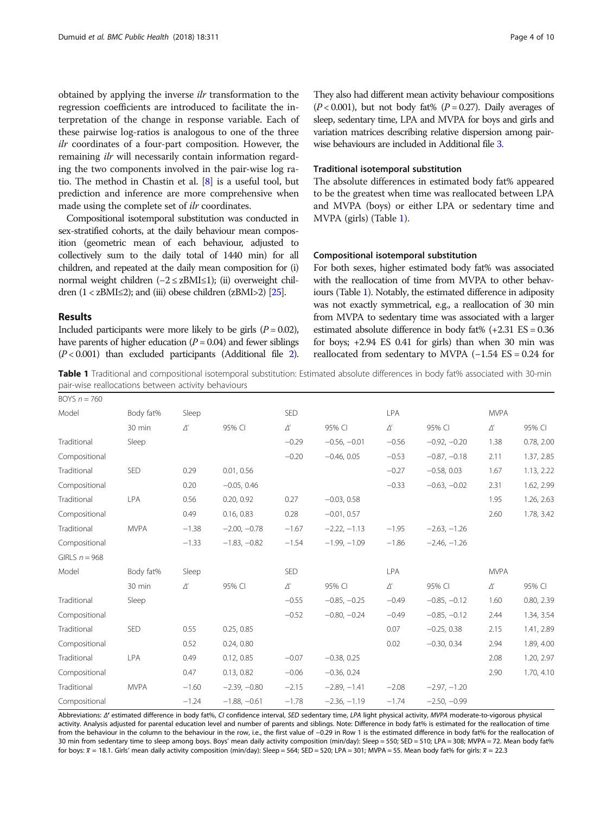obtained by applying the inverse ilr transformation to the regression coefficients are introduced to facilitate the interpretation of the change in response variable. Each of these pairwise log-ratios is analogous to one of the three ilr coordinates of a four-part composition. However, the remaining *ilr* will necessarily contain information regarding the two components involved in the pair-wise log ratio. The method in Chastin et al. [\[8](#page-9-0)] is a useful tool, but prediction and inference are more comprehensive when made using the complete set of ilr coordinates.

Compositional isotemporal substitution was conducted in sex-stratified cohorts, at the daily behaviour mean composition (geometric mean of each behaviour, adjusted to collectively sum to the daily total of 1440 min) for all children, and repeated at the daily mean composition for (i) normal weight children (−2 ≤ zBMI≤1); (ii) overweight children  $(1 \times zBMI \leq 2)$ ; and (iii) obese children (zBMI>2) [\[25](#page-9-0)].

#### Results

Included participants were more likely to be girls  $(P = 0.02)$ , have parents of higher education ( $P = 0.04$ ) and fewer siblings  $(P < 0.001)$  than excluded participants (Additional file [2\)](#page-8-0). They also had different mean activity behaviour compositions  $(P<0.001)$ , but not body fat%  $(P=0.27)$ . Daily averages of sleep, sedentary time, LPA and MVPA for boys and girls and variation matrices describing relative dispersion among pairwise behaviours are included in Additional file [3](#page-8-0).

## Traditional isotemporal substitution

The absolute differences in estimated body fat% appeared to be the greatest when time was reallocated between LPA and MVPA (boys) or either LPA or sedentary time and MVPA (girls) (Table 1).

#### Compositional isotemporal substitution

For both sexes, higher estimated body fat% was associated with the reallocation of time from MVPA to other behaviours (Table 1). Notably, the estimated difference in adiposity was not exactly symmetrical, e.g., a reallocation of 30 min from MVPA to sedentary time was associated with a larger estimated absolute difference in body fat%  $(+2.31 \text{ ES} = 0.36$ for boys; +2.94 ES 0.41 for girls) than when 30 min was reallocated from sedentary to MVPA  $(-1.54 \text{ ES} = 0.24 \text{ for}$ 

Table 1 Traditional and compositional isotemporal substitution: Estimated absolute differences in body fat% associated with 30-min pair-wise reallocations between activity behaviours

| BOYS $n = 760$  |             |              |                |              |                |              |                |              |            |
|-----------------|-------------|--------------|----------------|--------------|----------------|--------------|----------------|--------------|------------|
| Model           | Body fat%   | Sleep        |                | SED          |                | LPA          |                | <b>MVPA</b>  |            |
|                 | 30 min      | $\varDelta'$ | 95% CI         | $\varDelta'$ | 95% CI         | $\varDelta'$ | 95% CI         | $\varDelta'$ | 95% CI     |
| Traditional     | Sleep       |              |                | $-0.29$      | $-0.56, -0.01$ | $-0.56$      | $-0.92, -0.20$ | 1.38         | 0.78, 2.00 |
| Compositional   |             |              |                | $-0.20$      | $-0.46, 0.05$  | $-0.53$      | $-0.87, -0.18$ | 2.11         | 1.37, 2.85 |
| Traditional     | <b>SED</b>  | 0.29         | 0.01, 0.56     |              |                | $-0.27$      | $-0.58, 0.03$  | 1.67         | 1.13, 2.22 |
| Compositional   |             | 0.20         | $-0.05, 0.46$  |              |                | $-0.33$      | $-0.63, -0.02$ | 2.31         | 1.62, 2.99 |
| Traditional     | LPA         | 0.56         | 0.20, 0.92     | 0.27         | $-0.03, 0.58$  |              |                | 1.95         | 1.26, 2.63 |
| Compositional   |             | 0.49         | 0.16, 0.83     | 0.28         | $-0.01, 0.57$  |              |                | 2.60         | 1.78, 3.42 |
| Traditional     | <b>MVPA</b> | $-1.38$      | $-2.00, -0.78$ | $-1.67$      | $-2.22, -1.13$ | $-1.95$      | $-2.63, -1.26$ |              |            |
| Compositional   |             | $-1.33$      | $-1.83, -0.82$ | $-1.54$      | $-1.99, -1.09$ | $-1.86$      | $-2.46, -1.26$ |              |            |
| GIRLS $n = 968$ |             |              |                |              |                |              |                |              |            |
| Model           | Body fat%   | Sleep        |                | SED          |                | <b>LPA</b>   |                | <b>MVPA</b>  |            |
|                 | 30 min      | $\varDelta'$ | 95% CI         | $\varDelta'$ | 95% CI         | $\varDelta'$ | 95% CI         | $\varDelta'$ | 95% CI     |
| Traditional     | Sleep       |              |                | $-0.55$      | $-0.85, -0.25$ | $-0.49$      | $-0.85, -0.12$ | 1.60         | 0.80, 2.39 |
| Compositional   |             |              |                | $-0.52$      | $-0.80, -0.24$ | $-0.49$      | $-0.85, -0.12$ | 2.44         | 1.34, 3.54 |
| Traditional     | SED         | 0.55         | 0.25, 0.85     |              |                | 0.07         | $-0.25, 0.38$  | 2.15         | 1.41, 2.89 |
| Compositional   |             | 0.52         | 0.24, 0.80     |              |                | 0.02         | $-0.30, 0.34$  | 2.94         | 1.89, 4.00 |
| Traditional     | LPA         | 0.49         | 0.12, 0.85     | $-0.07$      | $-0.38, 0.25$  |              |                | 2.08         | 1.20, 2.97 |
| Compositional   |             | 0.47         | 0.13, 0.82     | $-0.06$      | $-0.36, 0.24$  |              |                | 2.90         | 1.70, 4.10 |
| Traditional     | <b>MVPA</b> | $-1.60$      | $-2.39, -0.80$ | $-2.15$      | $-2.89, -1.41$ | $-2.08$      | $-2.97, -1.20$ |              |            |
| Compositional   |             | $-1.24$      | $-1.88, -0.61$ | $-1.78$      | $-2.36, -1.19$ | $-1.74$      | $-2.50, -0.99$ |              |            |

Abbreviations: Δ' estimated difference in body fat%, CI confidence interval, SED sedentary time, LPA light physical activity, MVPA moderate-to-vigorous physical activity. Analysis adjusted for parental education level and number of parents and siblings. Note: Difference in body fat% is estimated for the reallocation of time from the behaviour in the column to the behaviour in the row, i.e., the first value of −0.29 in Row 1 is the estimated difference in body fat% for the reallocation of 30 min from sedentary time to sleep among boys. Boys' mean daily activity composition (min/day): Sleep = 550; SED = 510; LPA = 308; MVPA = 72. Mean body fat% for boys:  $\overline{x}$  = 18.1. Girls' mean daily activity composition (min/day): Sleep = 564; SED = 520; LPA = 301; MVPA = 55. Mean body fat% for girls:  $\overline{x}$  = 22.3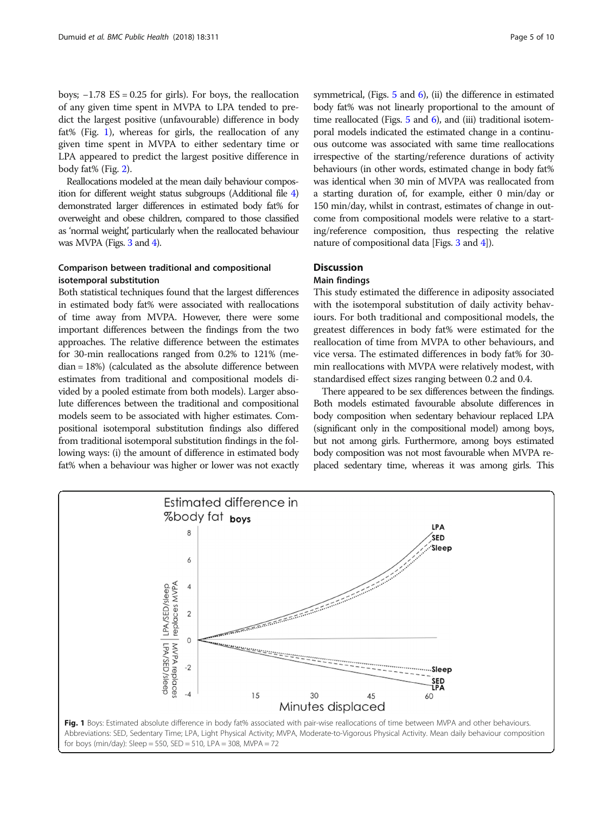boys;  $-1.78$  ES = 0.25 for girls). For boys, the reallocation of any given time spent in MVPA to LPA tended to predict the largest positive (unfavourable) difference in body fat% (Fig. 1), whereas for girls, the reallocation of any given time spent in MVPA to either sedentary time or LPA appeared to predict the largest positive difference in body fat% (Fig. [2](#page-5-0)).

Reallocations modeled at the mean daily behaviour composition for different weight status subgroups (Additional file [4](#page-8-0)) demonstrated larger differences in estimated body fat% for overweight and obese children, compared to those classified as 'normal weight', particularly when the reallocated behaviour was MVPA (Figs. [3](#page-5-0) and [4](#page-6-0)).

# Comparison between traditional and compositional isotemporal substitution

Both statistical techniques found that the largest differences in estimated body fat% were associated with reallocations of time away from MVPA. However, there were some important differences between the findings from the two approaches. The relative difference between the estimates for 30-min reallocations ranged from 0.2% to 121% (median = 18%) (calculated as the absolute difference between estimates from traditional and compositional models divided by a pooled estimate from both models). Larger absolute differences between the traditional and compositional models seem to be associated with higher estimates. Compositional isotemporal substitution findings also differed from traditional isotemporal substitution findings in the following ways: (i) the amount of difference in estimated body fat% when a behaviour was higher or lower was not exactly symmetrical, (Figs.  $5$  and  $6$ ), (ii) the difference in estimated body fat% was not linearly proportional to the amount of time reallocated (Figs.  $5$  and  $6$ ), and (iii) traditional isotemporal models indicated the estimated change in a continuous outcome was associated with same time reallocations irrespective of the starting/reference durations of activity behaviours (in other words, estimated change in body fat% was identical when 30 min of MVPA was reallocated from a starting duration of, for example, either 0 min/day or 150 min/day, whilst in contrast, estimates of change in outcome from compositional models were relative to a starting/reference composition, thus respecting the relative nature of compositional data [Figs. [3](#page-5-0) and [4\]](#page-6-0)).

# **Discussion**

# Main findings

This study estimated the difference in adiposity associated with the isotemporal substitution of daily activity behaviours. For both traditional and compositional models, the greatest differences in body fat% were estimated for the reallocation of time from MVPA to other behaviours, and vice versa. The estimated differences in body fat% for 30 min reallocations with MVPA were relatively modest, with standardised effect sizes ranging between 0.2 and 0.4.

There appeared to be sex differences between the findings. Both models estimated favourable absolute differences in body composition when sedentary behaviour replaced LPA (significant only in the compositional model) among boys, but not among girls. Furthermore, among boys estimated body composition was not most favourable when MVPA replaced sedentary time, whereas it was among girls. This

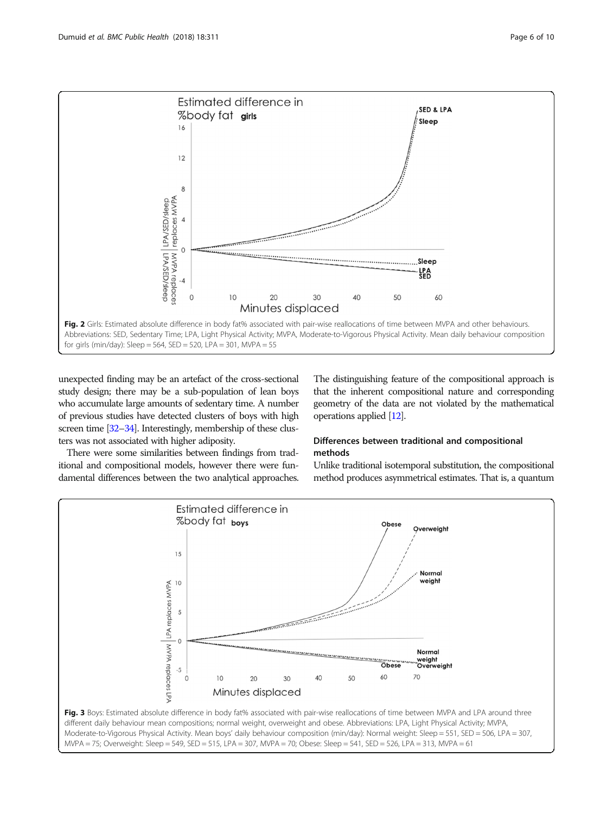<span id="page-5-0"></span>

unexpected finding may be an artefact of the cross-sectional study design; there may be a sub-population of lean boys who accumulate large amounts of sedentary time. A number of previous studies have detected clusters of boys with high screen time [\[32](#page-9-0)–[34](#page-9-0)]. Interestingly, membership of these clusters was not associated with higher adiposity.

There were some similarities between findings from traditional and compositional models, however there were fundamental differences between the two analytical approaches.

The distinguishing feature of the compositional approach is that the inherent compositional nature and corresponding geometry of the data are not violated by the mathematical operations applied [\[12\]](#page-9-0).

# Differences between traditional and compositional methods

Unlike traditional isotemporal substitution, the compositional method produces asymmetrical estimates. That is, a quantum

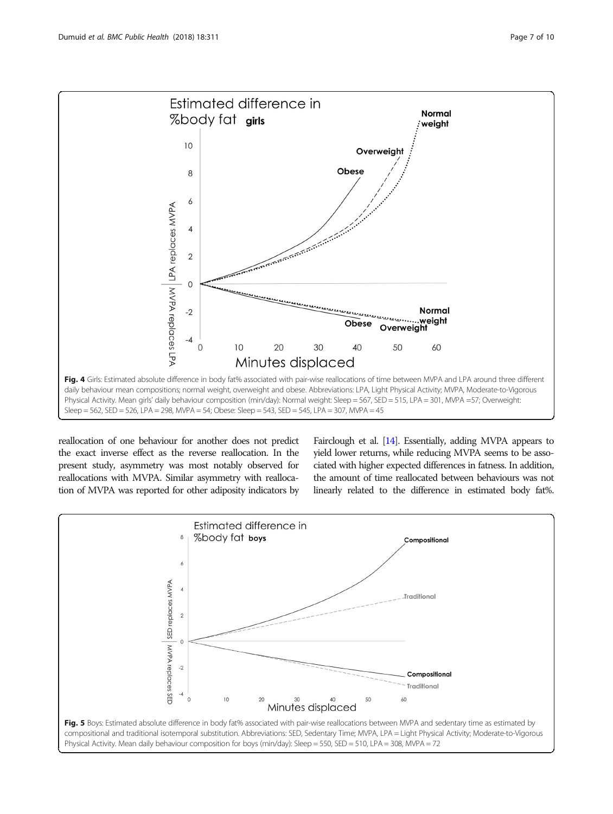<span id="page-6-0"></span>

reallocation of one behaviour for another does not predict the exact inverse effect as the reverse reallocation. In the present study, asymmetry was most notably observed for reallocations with MVPA. Similar asymmetry with reallocation of MVPA was reported for other adiposity indicators by

Fairclough et al. [[14\]](#page-9-0). Essentially, adding MVPA appears to yield lower returns, while reducing MVPA seems to be associated with higher expected differences in fatness. In addition, the amount of time reallocated between behaviours was not linearly related to the difference in estimated body fat%.

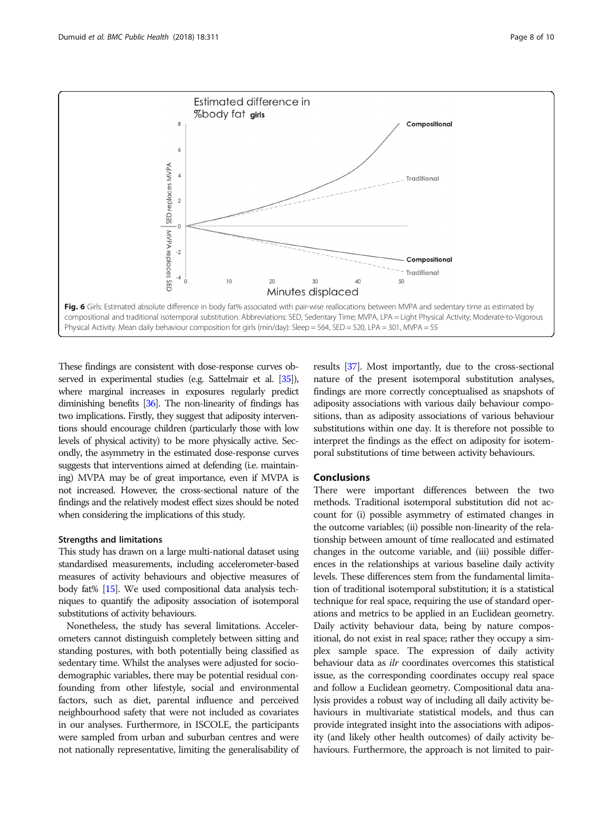<span id="page-7-0"></span>

These findings are consistent with dose-response curves observed in experimental studies (e.g. Sattelmair et al. [[35\]](#page-9-0)), where marginal increases in exposures regularly predict diminishing benefits [\[36](#page-9-0)]. The non-linearity of findings has two implications. Firstly, they suggest that adiposity interventions should encourage children (particularly those with low levels of physical activity) to be more physically active. Secondly, the asymmetry in the estimated dose-response curves suggests that interventions aimed at defending (i.e. maintaining) MVPA may be of great importance, even if MVPA is not increased. However, the cross-sectional nature of the findings and the relatively modest effect sizes should be noted when considering the implications of this study.

#### Strengths and limitations

This study has drawn on a large multi-national dataset using standardised measurements, including accelerometer-based measures of activity behaviours and objective measures of body fat% [\[15\]](#page-9-0). We used compositional data analysis techniques to quantify the adiposity association of isotemporal substitutions of activity behaviours.

Nonetheless, the study has several limitations. Accelerometers cannot distinguish completely between sitting and standing postures, with both potentially being classified as sedentary time. Whilst the analyses were adjusted for sociodemographic variables, there may be potential residual confounding from other lifestyle, social and environmental factors, such as diet, parental influence and perceived neighbourhood safety that were not included as covariates in our analyses. Furthermore, in ISCOLE, the participants were sampled from urban and suburban centres and were not nationally representative, limiting the generalisability of

results [[37\]](#page-9-0). Most importantly, due to the cross-sectional nature of the present isotemporal substitution analyses, findings are more correctly conceptualised as snapshots of adiposity associations with various daily behaviour compositions, than as adiposity associations of various behaviour substitutions within one day. It is therefore not possible to interpret the findings as the effect on adiposity for isotemporal substitutions of time between activity behaviours.

#### Conclusions

There were important differences between the two methods. Traditional isotemporal substitution did not account for (i) possible asymmetry of estimated changes in the outcome variables; (ii) possible non-linearity of the relationship between amount of time reallocated and estimated changes in the outcome variable, and (iii) possible differences in the relationships at various baseline daily activity levels. These differences stem from the fundamental limitation of traditional isotemporal substitution; it is a statistical technique for real space, requiring the use of standard operations and metrics to be applied in an Euclidean geometry. Daily activity behaviour data, being by nature compositional, do not exist in real space; rather they occupy a simplex sample space. The expression of daily activity behaviour data as *ilr* coordinates overcomes this statistical issue, as the corresponding coordinates occupy real space and follow a Euclidean geometry. Compositional data analysis provides a robust way of including all daily activity behaviours in multivariate statistical models, and thus can provide integrated insight into the associations with adiposity (and likely other health outcomes) of daily activity behaviours. Furthermore, the approach is not limited to pair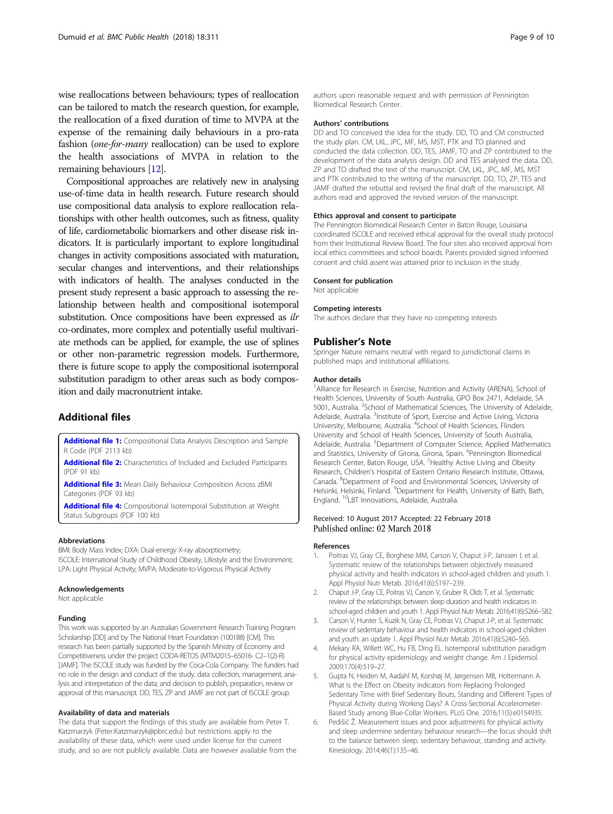<span id="page-8-0"></span>wise reallocations between behaviours; types of reallocation can be tailored to match the research question, for example, the reallocation of a fixed duration of time to MVPA at the expense of the remaining daily behaviours in a pro-rata fashion (one-for-many reallocation) can be used to explore the health associations of MVPA in relation to the remaining behaviours [[12](#page-9-0)].

Compositional approaches are relatively new in analysing use-of-time data in health research. Future research should use compositional data analysis to explore reallocation relationships with other health outcomes, such as fitness, quality of life, cardiometabolic biomarkers and other disease risk indicators. It is particularly important to explore longitudinal changes in activity compositions associated with maturation, secular changes and interventions, and their relationships with indicators of health. The analyses conducted in the present study represent a basic approach to assessing the relationship between health and compositional isotemporal substitution. Once compositions have been expressed as *ilr* co-ordinates, more complex and potentially useful multivariate methods can be applied, for example, the use of splines or other non-parametric regression models. Furthermore, there is future scope to apply the compositional isotemporal substitution paradigm to other areas such as body composition and daily macronutrient intake.

### Additional files

[Additional file 1:](https://doi.org/10.1186/s12889-018-5207-1) Compositional Data Analysis Description and Sample R Code (PDF 2113 kb)

[Additional file 2:](https://doi.org/10.1186/s12889-018-5207-1) Characteristics of Included and Excluded Participants (PDF 91 kb)

[Additional file 3:](https://doi.org/10.1186/s12889-018-5207-1) Mean Daily Behaviour Composition Across zBMI Categories (PDF 93 kb)

[Additional file 4:](https://doi.org/10.1186/s12889-018-5207-1) Compositional Isotemporal Substitution at Weight Status Subgroups (PDF 100 kb)

#### Abbreviations

BMI: Body Mass Index; DXA: Dual-energy X-ray absorptiometry; ISCOLE: International Study of Childhood Obesity, Lifestyle and the Environment; LPA: Light Physical Activity; MVPA: Moderate-to-Vigorous Physical Activity

#### Acknowledgements

Not applicable

#### Funding

This work was supported by an Australian Government Research Training Program Scholarship [DD] and by The National Heart Foundation (100188) [CM]. This research has been partially supported by the Spanish Ministry of Economy and Competitiveness under the project CODA-RETOS (MTM2015–65016- C2–1(2)-R) [JAMF]. The ISCOLE study was funded by the Coca-Cola Company. The funders had no role in the design and conduct of the study, data collection, management, analysis and interpretation of the data; and decision to publish, preparation, review or approval of this manuscript. DD, TES, ZP and JAMF are not part of ISCOLE group.

#### Availability of data and materials

The data that support the findings of this study are available from Peter T. Katzmarzyk (Peter.Katzmarzyk@pbrc.edu) but restrictions apply to the availability of these data, which were used under license for the current study, and so are not publicly available. Data are however available from the

authors upon reasonable request and with permission of Pennington Biomedical Research Center.

#### Authors' contributions

DD and TO conceived the idea for the study. DD, TO and CM constructed the study plan. CM, LKL, JPC, MF, MS, MST, PTK and TO planned and conducted the data collection. DD, TES, JAMF, TO and ZP contributed to the development of the data analysis design. DD and TES analysed the data. DD, ZP and TO drafted the text of the manuscript. CM, LKL, JPC, MF, MS, MST and PTK contributed to the writing of the manuscript. DD, TO, ZP, TES and JAMF drafted the rebuttal and revised the final draft of the manuscript. All authors read and approved the revised version of the manuscript.

#### Ethics approval and consent to participate

The Pennington Biomedical Research Center in Baton Rouge, Louisiana coordinated ISCOLE and received ethical approval for the overall study protocol from their Institutional Review Board. The four sites also received approval from local ethics committees and school boards. Parents provided signed informed consent and child assent was attained prior to inclusion in the study.

#### Consent for publication

Not applicable

#### Competing interests

The authors declare that they have no competing interests

#### Publisher's Note

Springer Nature remains neutral with regard to jurisdictional claims in published maps and institutional affiliations.

#### Author details

<sup>1</sup> Alliance for Research in Exercise, Nutrition and Activity (ARENA), School of Health Sciences, University of South Australia, GPO Box 2471, Adelaide, SA 5001, Australia. <sup>2</sup>School of Mathematical Sciences, The University of Adelaide Adelaide, Australia. <sup>3</sup>Institute of Sport, Exercise and Active Living, Victoria University, Melbourne, Australia. <sup>4</sup>School of Health Sciences, Flinders University and School of Health Sciences, University of South Australia, Adelaide, Australia. <sup>5</sup>Department of Computer Science, Applied Mathematics and Statistics, University of Girona, Girona, Spain. <sup>6</sup>Pennington Biomedical Research Center, Baton Rouge, USA. <sup>7</sup> Healthy Active Living and Obesity Research, Children's Hospital of Eastern Ontario Research Institute, Ottawa, Canada. <sup>8</sup> Department of Food and Environmental Sciences, University of Helsinki, Helsinki, Finland. <sup>9</sup>Department for Health, University of Bath, Bath England. 10LBT Innovations, Adelaide, Australia.

#### Received: 10 August 2017 Accepted: 22 February 2018 Published online: 02 March 2018

#### References

- 1. Poitras VJ, Gray CE, Borghese MM, Carson V, Chaput J-P, Janssen I, et al. Systematic review of the relationships between objectively measured physical activity and health indicators in school-aged children and youth 1. Appl Physiol Nutr Metab. 2016;41(6):S197–239.
- 2. Chaput J-P, Gray CE, Poitras VJ, Carson V, Gruber R, Olds T, et al. Systematic review of the relationships between sleep duration and health indicators in school-aged children and youth 1. Appl Physiol Nutr Metab. 2016;41(6):S266–S82.
- 3. Carson V, Hunter S, Kuzik N, Gray CE, Poitras VJ, Chaput J-P, et al. Systematic review of sedentary behaviour and health indicators in school-aged children and youth: an update 1. Appl Physiol Nutr Metab. 2016;41(6):S240–S65.
- 4. Mekary RA, Willett WC, Hu FB, Ding EL. Isotemporal substitution paradigm for physical activity epidemiology and weight change. Am J Epidemiol. 2009;170(4):519–27.
- 5. Gupta N, Heiden M, Aadahl M, Korshøj M, Jørgensen MB, Holtermann A. What Is the Effect on Obesity Indicators from Replacing Prolonged Sedentary Time with Brief Sedentary Bouts, Standing and Different Types of Physical Activity during Working Days? A Cross-Sectional Accelerometer-Based Study among Blue-Collar Workers. PLoS One. 2016;11(5):e0154935.
- 6. Pedišić Ž. Measurement issues and poor adjustments for physical activity and sleep undermine sedentary behaviour research—the focus should shift to the balance between sleep, sedentary behaviour, standing and activity. Kinesiology. 2014;46(1):135–46.